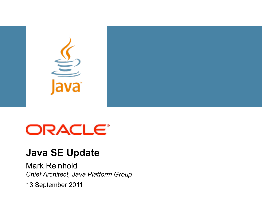

### ORACLE<sup>®</sup>

#### **Java SE Update**

Mark Reinhold *Chief Architect, Java Platform Group*

13 September 2011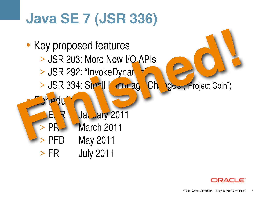## **Java SE 7 (JSR 336)**



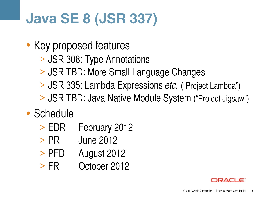# **Java SE 8 (JSR 337)**

- Key proposed features
	- > JSR 308: Type Annotations
	- > JSR TBD: More Small Language Changes
	- > JSR 335: Lambda Expressions *etc.* ("Project Lambda")
	- > JSR TBD: Java Native Module System ("Project Jigsaw")

#### • Schedule

- > EDR February 2012
- > PR June 2012
- > PFD August 2012
- > FR October 2012

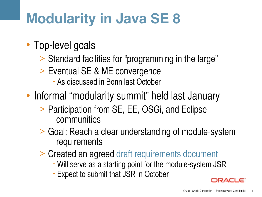## **Modularity in Java SE 8**

- Top-level goals
	- > Standard facilities for "programming in the large"
	- > Eventual SE & ME convergence
		- As discussed in Bonn last October
- Informal "modularity summit" held last January
	- > Participation from SE, EE, OSGi, and Eclipse communities
	- > Goal: Reach a clear understanding of module-system requirements
	- <sup>&</sup>gt; Created an agreed [draft requirements document](http://openjdk.java.net/projects/jigsaw/doc/draft-java-module-system-requirements-12) Will serve as a starting point for the module-system JSR
		-
		- Expect to submit that JSR in October